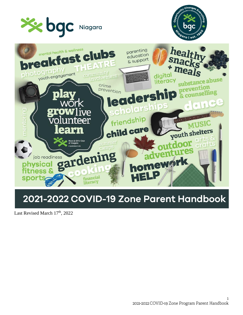





# 2021-2022 COVID-19 Zone Parent Handbook

Last Revised March 17<sup>th</sup>, 2022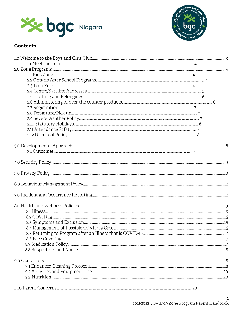



# **Contents**

| 10.0 Parent Concerns<br>.20 |  |  |
|-----------------------------|--|--|
|                             |  |  |
|                             |  |  |
|                             |  |  |
|                             |  |  |
|                             |  |  |
|                             |  |  |
|                             |  |  |
|                             |  |  |
|                             |  |  |
|                             |  |  |
|                             |  |  |
|                             |  |  |
|                             |  |  |
|                             |  |  |
|                             |  |  |
|                             |  |  |
|                             |  |  |
|                             |  |  |
|                             |  |  |
|                             |  |  |
|                             |  |  |
|                             |  |  |
|                             |  |  |
|                             |  |  |
|                             |  |  |
|                             |  |  |
|                             |  |  |
|                             |  |  |
|                             |  |  |
|                             |  |  |
|                             |  |  |
|                             |  |  |
|                             |  |  |
|                             |  |  |
|                             |  |  |
|                             |  |  |
|                             |  |  |
|                             |  |  |
|                             |  |  |
|                             |  |  |
|                             |  |  |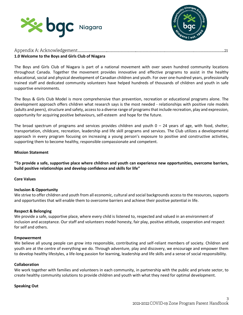



# **1.0 Welcome to the Boys and Girls Club of Niagara**

The Boys and Girls Club of Niagara is part of a national movement with over seven hundred community locations throughout Canada. Together the movement provides innovative and effective programs to assist in the healthy educational, social and physical development of Canadian children and youth. For over one-hundred years, professionally trained staff and dedicated community volunteers have helped hundreds of thousands of children and youth in safe supportive environments.

The Boys & Girls Club Model is more comprehensive than prevention, recreation or educational programs alone. The development approach offers children what research says is the most needed - relationships with positive role models (adults and peers), structure and safety, access to a diverse range of programs that include recreation, play and expression, opportunity for acquiring positive behaviours, self-esteem and hope for the future.

The broad spectrum of programs and services provides children and youth  $0 - 24$  years of age, with food, shelter, transportation, childcare, recreation, leadership and life skill programs and services. The Club utilizes a developmental approach in every program focusing on increasing a young person's exposure to positive and constructive activities, supporting them to become healthy, responsible compassionate and competent.

## **Mission Statement**

**"To provide a safe, supportive place where children and youth can experience new opportunities, overcome barriers, build positive relationships and develop confidence and skills for life"**

**Core Values** 

## **Inclusion & Opportunity**

We strive to offer children and youth from all economic, cultural and social backgrounds access to the resources, supports and opportunities that will enable them to overcome barriers and achieve their positive potential in life.

#### **Respect & Belonging**

We provide a safe, supportive place, where every child is listened to, respected and valued in an environment of inclusion and acceptance. Our staff and volunteers model honesty, fair play, positive attitude, cooperation and respect for self and others.

#### **Empowerment**

We believe all young people can grow into responsible, contributing and self-reliant members of society. Children and youth are at the centre of everything we do. Through adventure, play and discovery, we encourage and empower them to develop healthy lifestyles, a life-long passion for learning, leadership and life skills and a sense of social responsibility.

#### **Collaboration**

We work together with families and volunteers in each community, in partnership with the public and private sector, to create healthy community solutions to provide children and youth with what they need for optimal development.

#### **Speaking Out**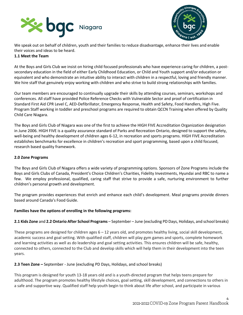



We speak out on behalf of children, youth and their families to reduce disadvantage, enhance their lives and enable their voices and ideas to be heard.

## **1.1 Meet the Team**

At the Boys and Girls Club we insist on hiring child focused professionals who have experience caring for children, a postsecondary education in the field of either Early Childhood Education, or Child and Youth support and/or education or equivalent and who demonstrate an intuitive ability to interact with children in a respectful, loving and friendly manner. We hire staff that genuinely enjoy working with children and who strive to build strong relationships with families.

Our team members are encouraged to continually upgrade their skills by attending courses, seminars, workshops and conferences. All staff have provided Police Reference Checks with Vulnerable Sector and proof of certification in Standard First Aid CPR Level C, AED-Defibrillator, Emergency Response, Health and Safety, Food Handlers, High Five. Program Staff working in toddler and preschool programs are required to obtain QCCN Training when offered by Quality Child Care Niagara.

The Boys and Girls Club of Niagara was one of the first to achieve the HIGH FIVE Accreditation Organization designation in June 2006. HIGH FIVE is a quality assurance standard of Parks and Recreation Ontario, designed to support the safety, well-being and healthy development of children ages 6-12, in recreation and sports programs. HIGH FIVE Accreditation establishes benchmarks for excellence in children's recreation and sport programming, based upon a child focused, research based quality framework.

## **2.0 Zone Programs**

The Boys and Girls Club of Niagara offers a wide variety of programming options. Sponsors of Zone Programs include the Boys and Girls Clubs of Canada, President's Choice Children's Charities, Fidelity Investments, Hyundai and RBC to name a few. We employ professional, qualified, caring staff that strive to provide a safe, nurturing environment to further children's personal growth and development.

The program provides experiences that enrich and enhance each child's development. Meal programs provide dinners based around Canada's Food Guide.

# **Families have the options of enrolling in the following programs:**

# **2.1 Kids Zone** and **2.2 Ontario After School Programs** – September – June (excluding PD Days, Holidays, and school breaks)

These programs are designed for children ages  $6 - 12$  years old, and promotes healthy living, social skill development, academic success and goal setting. With qualified staff, children will play gym games and sports, complete homework and learning activities as well as do leadership and goal setting activities. This ensures children will be safe, healthy, connected to others, connected to the Club and develop skills which will help them in their development into the teen years.

## **2.3 Teen Zone –** September - June (excluding PD Days, Holidays, and school breaks)

This program is designed for youth 13-18 years old and is a youth-directed program that helps teens prepare for adulthood. The program promotes healthy lifestyle choices, goal setting, skill development, and connections to others in a safe and supportive way. Qualified staff help youth begin to think about life after school, and participate in various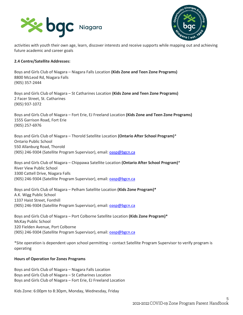



activities with youth their own age, learn, discover interests and receive supports while mapping out and achieving future academic and career goals

#### **2.4 Centre/Satellite Addresses:**

Boys and Girls Club of Niagara – Niagara Falls Location **(Kids Zone and Teen Zone Programs)** 8800 McLeod Rd, Niagara Falls (905) 357-2444

Boys and Girls Club of Niagara – St Catharines Location **(Kids Zone and Teen Zone Programs)** 2 Facer Street, St. Catharines (905) 937-1072

Boys and Girls Club of Niagara – Fort Erie, EJ Freeland Location **(Kids Zone and Teen Zone Programs)** 1555 Garrison Road, Fort Erie (905) 257-6976

Boys and Girls Club of Niagara – Thorold Satellite Location **(Ontario After School Program)**\* Ontario Public School 550 Allanburg Road, Thorold (905) 246-9304 (Satellite Program Supervisor), email[: oasp@bgcn.ca](mailto:oasp@bgcn.ca)

Boys and Girls Club of Niagara – Chippawa Satellite Location **(Ontario After School Program)**\* River View Public School 3300 Cattell Drive, Niagara Falls (905) 246-9304 (Satellite Program Supervisor), email[: oasp@bgcn.ca](mailto:oasp@bgcn.ca)

Boys and Girls Club of Niagara – Pelham Satellite Location **(Kids Zone Program)\*** A.K. Wigg Public School 1337 Haist Street, Fonthill (905) 246-9304 (Satellite Program Supervisor), email[: oasp@bgcn.ca](mailto:oasp@bgcn.ca)

Boys and Girls Club of Niagara – Port Colborne Satellite Location **(Kids Zone Program)\*** McKay Public School 320 Fielden Avenue, Port Colborne (905) 246-9304 (Satellite Program Supervisor), email[: oasp@bgcn.ca](mailto:oasp@bgcn.ca)

\*Site operation is dependent upon school permitting – contact Satellite Program Supervisor to verify program is operating

#### **Hours of Operation for Zones Programs**

Boys and Girls Club of Niagara – Niagara Falls Location Boys and Girls Club of Niagara – St Catharines Location Boys and Girls Club of Niagara – Fort Erie, EJ Freeland Location

Kids Zone: 6:00pm to 8:30pm, Monday, Wednesday, Friday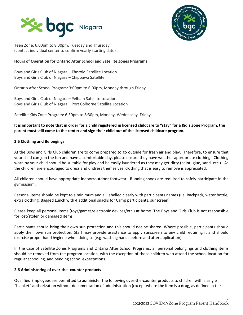



Teen Zone: 6:00pm to 8:30pm, Tuesday and Thursday (contact individual center to confirm yearly starting date)

## **Hours of Operation for Ontario After School and Satellite Zones Programs**

Boys and Girls Club of Niagara – Thorold Satellite Location Boys and Girls Club of Niagara – Chippawa Satellite

Ontario After School Program: 3:00pm to 6:00pm, Monday through Friday

Boys and Girls Club of Niagara – Pelham Satellite Location Boys and Girls Club of Niagara – Port Colborne Satellite Location

Satellite Kids Zone Program: 6:30pm to 8:30pm, Monday, Wednesday, Friday

# **It is important to note that in order for a child registered in licensed childcare to "stay" for a Kid's Zone Program, the parent must still come to the center and sign their child out of the licensed childcare program.**

## **2.5 Clothing and Belongings**

At the Boys and Girls Club children are to come prepared to go outside for fresh air and play. Therefore, to ensure that your child can join the fun and have a comfortable day, please ensure they have weather appropriate clothing. Clothing worn by your child should be suitable for play and be easily laundered as they may get dirty (paint, glue, sand, etc.). As the children are encouraged to dress and undress themselves, clothing that is easy to remove is appreciated.

All children should have appropriate indoor/outdoor footwear. Running shoes are required to safely participate in the gymnasium.

Personal items should be kept to a minimum and all labelled clearly with participants names (i.e. Backpack, water bottle, extra clothing, Bagged Lunch with 4 additional snacks for Camp participants, sunscreen)

Please keep all personal items (toys/games/electronic devices/etc.) at home. The Boys and Girls Club is not responsible for lost/stolen or damaged items.

Participants should bring their own sun protection and this should not be shared. Where possible, participants should apply their own sun protection. Staff may provide assistance to apply sunscreen to any child requiring it and should exercise proper hand hygiene when doing so (e.g. washing hands before and after application).

In the case of Satellite Zones Programs and Ontario After School Programs, all personal belongings and clothing items should be removed from the program location, with the exception of those children who attend the school location for regular schooling, and pending school expectations.

## **2.6 Administering of over-the -counter products**

Qualified Employees are permitted to administer the following over-the-counter products to children with a single "blanket" authorization without documentation of administration (except where the item is a drug, as defined in the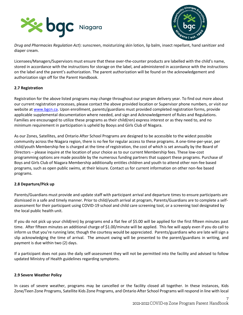



*Drug and Pharmacies Regulation Act*): sunscreen, moisturizing skin lotion, lip balm, insect repellant, hand sanitizer and diaper cream.

Licensees/Managers/Supervisors must ensure that these over-the-counter products are labelled with the child's name, stored in accordance with the instructions for storage on the label, and administered in accordance with the instructions on the label and the parent's authorization. The parent authorization will be found on the acknowledgement and authorization sign off for the Parent Handbook.

## **2.7 Registration**

Registration for the above listed programs may change throughout our program delivery year. To find out more about our current registration processes, please contact the above provided location or Supervisor phone numbers, or visit our website at [www.bgcn.ca.](http://www.bgcn.ca/) Upon enrollment, parents/guardians must provided completed registration forms, provide applicable supplemental documentation where needed, and sign and Acknowledgement of Rules and Regulations. Families are encouraged to utilize these programs as their child(ren) express interest or as they need to, and no minimum requirement in participation is upheld by Booys and Girls Club of Niagara.

As our Zones, Satellites, and Ontario After School Programs are designed to be accessible to the widest possible community across the Niagara region, there is no fee for regular access to these programs. A one-time-per-year, per child/youth Membership fee is charged at the time of registration, the cost of which is set annually by the Board of Directors – please inquire at the location of your choice as to our current Membership fees. These low-cost programming options are made possible by the numerous funding partners that support these programs. Purchase of Boys and Girls Club of Niagara Membership additionally entitles children and youth to attend other non-fee based programs, such as open public swims, at their leisure. Contact us for current information on other non-fee based programs.

## **2.8 Departure/Pick up**

Parents/Guardians must provide and update staff with participant arrival and departure times to ensure participants are dismissed in a safe and timely manner. Prior to child/youth arrival at program, Parents/Guardians are to complete a selfassessment for their participant using COVID-19 school and child care screening tool, or a screening tool designated by the local public health unit.

If you do not pick up your child(ren) by programs end a flat fee of \$5.00 will be applied for the first fifteen minutes past time. After fifteen minutes an additional charge of \$1.00/minute will be applied. This fee will apply even if you do call to inform us that you're running late; though the courtesy would be appreciated. Parents/guardians who are late will sign a slip acknowledging the time of arrival. The amount owing will be presented to the parent/guardians in writing, and payment is due within two (2) days.

If a participant does not pass the daily self-assessment they will not be permitted into the facility and advised to follow updated Ministry of Health guidelines regarding symptoms.

## **2.9 Severe Weather Policy**

In cases of severe weather, programs may be cancelled or the facility closed all together. In these instances, Kids Zone/Teen Zone Programs, Satellite Kids Zone Programs, and Ontario After School Programs will respond in line with local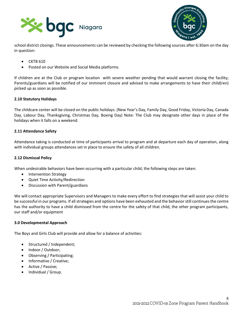



school district closings. These announcements can be reviewed by checking the following sources after 6:30am on the day in question:

- CKTB 610
- Posted on our Website and Social Media platforms

If children are at the Club or program location with severe weather pending that would warrant closing the facility; Parents/guardians will be notified of our imminent closure and advised to make arrangements to have their child(ren) picked up as soon as possible.

## **2.10 Statutory Holidays**

The childcare center will be closed on the public holidays. (New Year's Day, Family Day, Good Friday, Victoria Day, Canada Day, Labour Day, Thanksgiving, Christmas Day, Boxing Day) Note: The Club may designate other days in place of the holidays when it falls on a weekend.

## **2.11 Attendance Safety**

Attendance taking is conducted at time of participants arrival to program and at departure each day of operation, along with individual groups attendances set in place to ensure the safety of all children.

#### **2.12 Dismissal Policy**

When undesirable behaviors have been occurring with a particular child, the following steps are taken:

- Intervention Strategy
- Quiet Time Activity/Redirection
- Discussion with Parent/guardians

We will contact appropriate Supervisors and Managers to make every effort to find strategies that will assist your child to be successful in our programs. If all strategies and options have been exhausted and the behavior still continues the centre has the authority to have a child dismissed from the centre for the safety of that child, the other program participants, our staff and/or equipment

#### **3.0 Developmental Approach**

The Boys and Girls Club will provide and allow for a balance of activities:

- Structured / Independent;
- Indoor / Outdoor;
- Observing / Participating;
- Informative / Creative;
- Active / Passive;
- Individual / Group.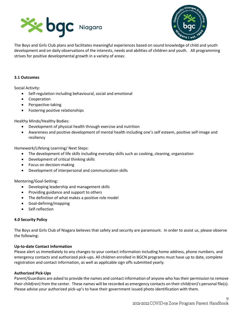



The Boys and Girls Club plans and facilitates meaningful experiences based on sound knowledge of child and youth development and on daily observations of the interests, needs and abilities of children and youth. All programming strives for positive developmental growth in a variety of areas:

#### **3.1 Outcomes**

Social Activity:

- Self-regulation including behavioural, social and emotional
- Cooperation
- Perspective-taking
- Fostering positive relationships

Healthy Minds/Healthy Bodies:

- Development of physical health through exercise and nutrition
- Awareness and positive development of mental health including one's self esteem, positive self-image and resiliency

Homework/Lifelong Learning/ Next Steps:

- The development of life skills including everyday skills such as cooking, cleaning, organization
- Development of critical thinking skills
- Focus on decision-making
- Development of interpersonal and communication skills

Mentoring/Goal-Setting:

- Developing leadership and management skills
- Providing guidance and support to others
- The definition of what makes a positive role model
- Goal-defining/mapping
- Self-reflection

## **4.0 Security Policy**

The Boys and Girls Club of Niagara believes that safety and security are paramount. In order to assist us, please observe the following:

## **Up-to-date Contact Information**

Please alert us immediately to any changes to your contact information including home address, phone numbers, and emergency contacts and authorized pick-ups. All children enrolled in BGCN programs must have up to date, complete registration and contact information, as well as applicable sign offs submitted yearly.

#### **Authorized Pick-Ups**

Parent/Guardians are asked to provide the names and contact information of anyone who has their permission to remove their child(ren) from the center. These names will be recorded as emergency contacts on their child(ren)'s personal file(s). Please advise your authorized pick-up's to have their government issued photo identification with them.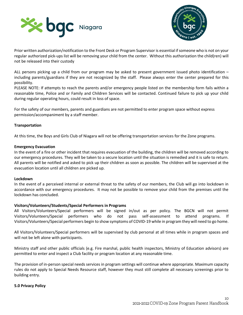



Prior written authorization/notification to the Front Desk or Program Supervisor is essential if someone who is not on your regular authorized pick-ups list will be removing your child from the center. Without this authorization the child(ren) will not be released into their custody

ALL persons picking up a child from our program may be asked to present government issued photo identification – including parents/guardians if they are not recognized by the staff. Please always enter the center prepared for this possibility.

PLEASE NOTE: If attempts to reach the parents and/or emergency people listed on the membership form fails within a reasonable time, Police and or Family and Children Services will be contacted. Continued failure to pick up your child during regular operating hours, could result in loss of space.

For the safety of our members, parents and guardians are not permitted to enter program space without express permission/accompaniment by a staff member.

## **Transportation**

At this time, the Boys and Girls Club of Niagara will not be offering transportation services for the Zone programs.

#### **Emergency Evacuation**

In the event of a fire or other incident that requires evacuation of the building, the children will be removed according to our emergency procedures. They will be taken to a secure location until the situation is remedied and it is safe to return. All parents will be notified and asked to pick up their children as soon as possible. The children will be supervised at the evacuation location until all children are picked up.

#### **Lockdown**

In the event of a perceived internal or external threat to the safety of our members, the Club will go into lockdown in accordance with our emergency procedures. It may not be possible to remove your child from the premises until the lockdown has concluded.

## **Visitors/Volunteers/Students/Special Performers in Programs**

All Visitors/Volunteers/Special performers will be signed in/out as per policy. The BGCN will not permit Visitors/Volunteers/Special performers who do not pass self-assessment to attend programs. If Visitors/Volunteers/Special performers begin to show symptoms of COVID-19 while in program they will need to go home.

All Visitors/Volunteers/Special performers will be supervised by club personal at all times while in program spaces and will not be left alone with participants.

Ministry staff and other public officials (e.g. Fire marshal, public health inspectors, Ministry of Education advisors) are permitted to enter and inspect a Club facility or program location at any reasonable time.

The provision of in-person special needs services in program settings will continue where appropriate. Maximum capacity rules do not apply to Special Needs Resource staff, however they must still complete all necessary screenings prior to building entry.

## **5.0 Privacy Policy**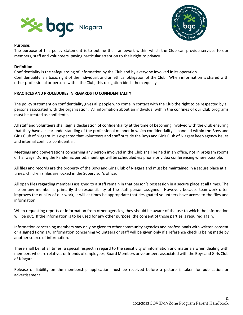



## **Purpose:**

The purpose of this policy statement is to outline the framework within which the Club can provide services to our members, staff and volunteers, paying particular attention to their right to privacy.

#### **Definition:**

Confidentiality is the safeguarding of information by the Club and by everyone involved in its operation. Confidentiality is a basic right of the individual, and an ethical obligation of the Club. When information is shared with other professional or persons within the Club, this obligation binds them equally.

## **PRACTICES AND PROCEDURES IN REGARDS TO CONFIDENTIALITY**

The policy statement on confidentiality gives all people who come in contact with the Club the right to be respected by all persons associated with the organization. All information about an individual within the confines of our Club programs must be treated as confidential.

All staff and volunteers shall sign a declaration of confidentiality at the time of becoming involved with the Club ensuring that they have a clear understanding of the professional manner in which confidentiality is handled within the Boys and Girls Club of Niagara. It is expected that volunteers and staff outside the Boys and Girls Club of Niagara keep agency issues and internal conflicts confidential.

Meetings and conversations concerning any person involved in the Club shall be held in an office, not in program rooms or hallways. During the Pandemic period, meetings will be scheduled via phone or video conferencing where possible.

All files and records are the property of the Boys and Girls Club of Niagara and must be maintained in a secure place at all times: children's files are locked in the Supervisor's office.

All open files regarding members assigned to a staff remain in that person's possession in a secure place at all times. The file on any member is primarily the responsibility of the staff person assigned. However, because teamwork often improves the quality of our work, it will at times be appropriate that designated volunteers have access to the files and information.

When requesting reports or information from other agencies, they should be aware of the use to which the information will be put. If the information is to be used for any other purpose, the consent of those parties is required again.

Information concerning members may only be given to other community agencies and professionals with written consent or a signed Form 14. Information concerning volunteers or staff will be given only if a reference check is being made by another source of information.

There shall be, at all times, a special respect in regard to the sensitivity of information and materials when dealing with members who are relatives or friends of employees, Board Members or volunteers associated with the Boys and Girls Club of Niagara.

Release of liability on the membership application must be received before a picture is taken for publication or advertisement.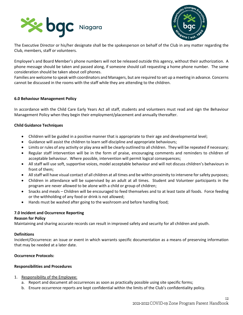



The Executive Director or his/her designate shall be the spokesperson on behalf of the Club in any matter regarding the Club, members, staff or volunteers.

Employee's and Board Member's phone numbers will not be released outside this agency, without their authorization. A phone message should be taken and passed along, if someone should call requesting a home phone number. The same consideration should be taken about cell phones.

Families are welcome to speak with coordinators and Managers, but are required to set up a meeting in advance. Concerns cannot be discussed in the rooms with the staff while they are attending to the children.

## **6.0 Behaviour Management Policy**

In accordance with the Child Care Early Years Act all staff, students and volunteers must read and sign the Behaviour Management Policy when they begin their employment/placement and annually thereafter.

#### **Child Guidance Techniques**

- Children will be guided in a positive manner that is appropriate to their age and developmental level;
- Guidance will assist the children to learn self-discipline and appropriate behaviours;
- Limits or rules of any activity or play area will be clearly outlined to all children. They will be repeated if necessary;
- Regular staff intervention will be in the form of praise, encouraging comments and reminders to children of acceptable behaviour. Where possible, intervention will permit logical consequences;
- All staff will use soft, supportive voices, model acceptable behaviour and will not discuss children's behaviours in front of them;
- All staff will have visual contact of all children at all times and be within proximity to intervene for safety purposes;
- Children in attendance will be supervised by an adult at all times. Student and Volunteer participants in the program are never allowed to be alone with a child or group of children;
- Snacks and meals Children will be encouraged to feed themselves and to at least taste all foods. Force feeding or the withholding of any food or drink is not allowed;
- Hands must be washed after going to the washroom and before handling food;

## **7.0 Incident and Occurrence Reporting**

#### **Reason for Policy**

Maintaining and sharing accurate records can result in improved safety and security for all children and youth.

#### **Definitions**

Incident/Occurrence: an issue or event in which warrants specific documentation as a means of preserving information that may be needed at a later date.

## **Occurrence Protocols:**

#### **Responsibilities and Procedures**

- 1. Responsibility of the Employee:
	- a. Report and document all occurrences as soon as practically possible using site specific forms;
	- b. Ensure occurrence reports are kept confidential within the limits of the Club's confidentiality policy.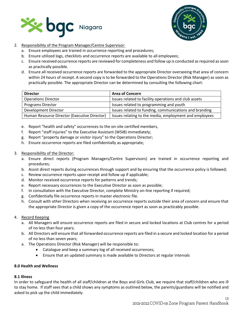



- 2. Responsibility of the Program Manager/Centre Supervisor:
	- a. Ensure employees are trained in occurrence reporting and procedures;
	- b. Ensure utilized logs, checklists and occurrence reports are available to all employees;
	- c. Ensure received occurrence reports are reviewed for completeness and follow up is conducted as required as soon as practically possible.
	- d. Ensure all received occurrence reports are forwarded to the appropriate Director overseeing that area of concern within 24 hours of receipt. A second copy is to be forwarded to the Operations Director (Risk Manager) as soon as practically possible. The appropriate Director can be determined by consulting the following chart:

| <b>Director</b>                              | <b>Area of Concern</b>                                 |
|----------------------------------------------|--------------------------------------------------------|
| <b>Operations Director</b>                   | Issues related to facility operations and club assets  |
| <b>Programs Director</b>                     | Issues related to programming and youth                |
| <b>Development Director</b>                  | Issues related to funding, communications and branding |
| Human Resource Director (Executive Director) | Issues relating to the media, employment and employees |

- e. Report "health and safety" occurrences to the on-site certified members,
- f. Report "staff injuries" to the Executive Assistant (WSIB) immediately;
- g. Report "property damage or visitor injury" to the Operations Director;
- h. Ensure occurrence reports are filed confidentially as appropriate;
- 3. Responsibility of the Director:
	- a. Ensure direct reports (Program Managers/Centre Supervisors) are trained in occurrence reporting and procedures;
	- b. Assist direct reports during occurrences through support and by ensuring that the occurrence policy is followed;
	- c. Review occurrence reports upon receipt and follow up if applicable;
	- d. Monitor received occurrence reports for patterns and trends;
	- e. Report necessary occurrences to the Executive Director as soon as possible;
	- f. In consultation with the Executive Director, complete Ministry on-line reporting if required;
	- g. Confidentially file occurrence reports in master electronic file.
	- h. Consult with other Directors when receiving an occurrence reports outside their area of concern and ensure that the appropriate Director is given a copy of the occurrence report as soon as practicably possible.
- 4. Record Keeping
	- a. All Managers will ensure occurrence reports are filed in secure and locked locations at Club centres for a period of no less than four years;
	- b. All Directors will ensure that all forwarded occurrence reports are filed in a secure and locked location for a period of no less than seven years;
	- a. The Operations Director (Risk Manager) will be responsible to:
		- Catalogue and keep a summary log of all received occurrences;
		- Ensure that an updated summary is made available to Directors at regular intervals

# **8.0 Health and Wellness**

# **8.1 Illness**

In order to safeguard the health of all staff/children at the Boys and Girls Club, we require that staff/children who are ill to stay home. If staff sees that a child shows any symptoms as outlined below, the parents/guardians will be notified and asked to pick up the child immediately.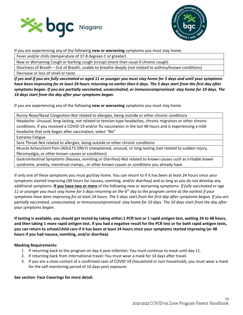



If you are experiencing any of the following **new or worsening** symptoms you must stay home.

Fever and/or chills (temperature of 37.8 degrees C or greater)

New or Worsening Cough or barking cough (croup) (more than usual if chronic cough)

Shortness of Breath – Out of Breath, unable to breathe deeply (not related to asthma/known conditions)

Decrease or loss of smell or taste

*If yes and If you are fully vaccinated or aged 11 or younger you must stay home for 5 days and until your symptoms have been improving for at least 24 hours returning no earlier then 6 days. The 5 days start from the first day after symptoms began. If you are partially vaccinated, unvaccinated, or immunocompromised: stay home for 10 days. The 10 days start from the day after your symptoms began.*

If you are experiencing any of the following **new or worsening** symptoms you must stay home.

Runny Nose/Nasal Congestion-Not related to allergies, being outside or other chronic conditions

Headache- Unusual, long-lasting, not related to tension-type headaches, chronic migraines or other chronic conditions. If you received a COVID-19 and/or flu vaccination in the last 48 hours and is experiencing a mild headache that only began after vaccination, select "No"

Extreme Fatigue

Sore Throat-Not related to allergies, being outside or other chronic conditions

Muscle Aches/Joint Pain (ADULTS ONLY) Unexplained, unusual, or long-lasting (not related to sudden injury, fibromyalgia, or other known causes or conditions)

Gastrointestinal Symptoms (Nausea, vomiting or Diarrhea)-Not related to known causes such as irritable bowel syndrome, anxiety, menstrual cramps., or other known causes or conditions you already have

If only one of these symptoms you must go/stay home. You can return to if it has been at least 24 hours since your symptoms started improving (48 hours for nausea, vomiting, and/or diarrhea) and as long as you do not develop any additional symptoms. **If you have two or more** of the following new or worsening symptoms- *If fully vaccinated or age 11 or younger you must stay home for 5 days returning on the 6th day to the program centre at the earliest if your symptoms have been improving for at least 24 hours. The 5 days start from the first day after symptoms began. If you are partially vaccinated, unvaccinated, or immunocompromised: stay home for 10 days. The 10 days start from the day after your symptoms began.* 

**If testing is available, you should get tested by taking either:1 PCR test or 1 rapid antigen test, waiting 24 to 48 hours, and then taking 1 more rapid antigen test. If you had a negative result for the PCR test or for both rapid antigen tests, you can return to school/child care if it has been at least 24 hours since your symptoms started improving (or 48 hours if you had nausea, vomiting, and/or diarrhea).**

# **Masking Requirements:**

- 1. If returning back to the program on day 6 post-infection: You must continue to mask until day 11.
- 2. If returning back from International travel: You must wear a mask for 14 days after travel.
- 3. If you are a close contact of a confirmed case of COVID-19 (household or non-household), you must wear a mask for the self monitoring period of 10 days post exposure.

# **See section- Face Coverings for more detail.**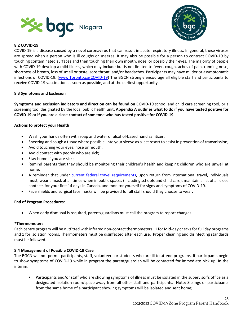



# **8.2 COVID-19**

COVID-19 is a disease caused by a novel coronavirus that can result in acute respiratory illness. In general, these viruses are spread when a person who is ill coughs or sneezes. It may also be possible for a person to contract COVID-19 by touching contaminated surfaces and then touching their own mouth, nose, or possibly their eyes. The majority of people with COVID-19 develop a mild illness, which may include but is not limited to fever, cough, aches of pain, running nose, shortness of breath, loss of smell or taste, sore throat, and/or headaches. Participants may have milder or asymptomatic infections of COVID-19. [\(www.Toronto.ca/COVID-19\)](http://www.toronto.ca/COVID-19) The BGCN strongly encourage all eligible staff and participants to receive COVID-19 vaccination as soon as possible, and at the earliest opportunity.

## **8.3 Symptoms and Exclusion**

**Symptoms and exclusion indicators and direction can be found on** COVID-19 school and child care screening tool, or a screening tool designated by the local public health unit**. Appendix A outlines what to do if you have tested positive for COVID 19 or if you are a close contact of someone who has tested positive for COVID-19** 

## **Actions to protect your Health**

- Wash your hands often with soap and water or alcohol-based hand sanitizer;
- Sneezing and cough a tissue where possible, into your sleeve as a last resort to assist in prevention of transmission;
- Avoid touching your eyes, nose or mouth;
- Avoid contact with people who are sick;
- Stay home if you are sick;
- Remind parents that they should be monitoring their children's health and keeping children who are unwell at home;
- A reminder that under current federal travel requirements, upon return from international travel, individuals must, wear a mask at all times when in public spaces (including schools and child care), maintain a list of all close contacts for your first 14 days in Canada, and monitor yourself for signs and symptoms of COVID-19.
- Face shields and surgical face masks will be provided for all staff should they choose to wear.

## **End of Program Procedures:**

• When early dismissal is required, parent/guardians must call the program to report changes.

## **\*Thermometers**

Each centre program will be outfitted with infrared non-contact thermometers. 1 for Mid-day checks for full day programs and 1 for isolation rooms. Thermometers must be disinfected after each use. Proper cleaning and disinfecting standards must be followed.

## **8.4 Management of Possible COVID-19 Case**

The BGCN will not permit participants, staff, volunteers or students who are ill to attend programs. If participants begin to show symptoms of COVID-19 while in program the parent/guardian will be contacted for immediate pick up. In the interim:

• Participants and/or staff who are showing symptoms of illness must be isolated in the supervisor's office as a designated isolation room/space away from all other staff and participants. Note: Siblings or participants from the same home of a participant showing symptoms will be isolated and sent home;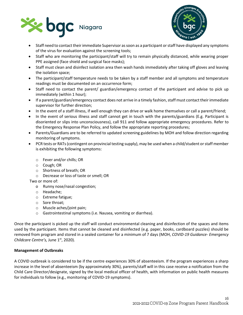



- Staff need to contact their immediate Supervisor as soon as a participant or staff have displayed any symptoms of the virus for evaluation against the screening tools;
- Staff who are monitoring the participant/staff will try to remain physically distanced, while wearing proper PPE assigned (face shield and surgical face masks);
- Staff must clean and disinfect isolation area then wash hands immediately after taking off gloves and leaving the isolation space;
- The participant/staff temperature needs to be taken by a staff member and all symptoms and temperature readings must be documented on an occurrence form;
- Staff need to contact the parent/ guardian/emergency contact of the participant and advise to pick up immediately (within 1 hour);
- If a parent/guardian/emergency contact does not arrive in a timely fashion, staff must contact their immediate supervisor for further direction;
- In the event of a staff illness, if well enough they can drive or walk home themselves or call a parent/friend;
- In the event of serious illness and staff cannot get in touch with the parents/guardians (E.g. Participant is disoriented or slips into unconsciousness), call 911 and follow appropriate emergency procedures. Refer to the Emergency Response Plan Policy, and follow the appropriate reporting procedures;
- Parents/Guardians are to be referred to updated screening guidelines by MOH and follow direction regarding monitoring of symptoms.
- PCR tests or RATs (contingent on provincial testing supply), may be used when a child/student or staff member is exhibiting the following symptoms:
	- o Fever and/or chills; OR
	- o Cough; OR
	- o Shortness of breath; OR
	- o Decrease or loss of taste or smell; OR

Two or more of:

- o Runny nose/nasal congestion;
- o Headache;
- o Extreme fatigue;
- o Sore throat;
- o Muscle aches/joint pain;
- o Gastrointestinal symptoms (i.e. Nausea, vomiting or diarrhea).

Once the participant is picked up the staff will conduct environmental cleaning and disinfection of the spaces and items used by the participant. Items that cannot be cleaned and disinfected (e.g. paper, books, cardboard puzzles) should be removed from program and stored in a sealed container for a minimum of 7 days (MOH, *COVID-19 Guidance- Emergency Childcare Centre's,* June 1st, 2020).

## **Management of Outbreaks**

A COVID outbreak is considered to be if the centre experiences 30% of absenteeism. If the program experiences a sharp increase in the level of absenteeism (by approximately 30%), parents/staff will in this case receive a notification from the Child Care Director/designate, signed by the local medical officer of health, with information on public health measures for individuals to follow (e.g., monitoring of COVID-19 symptoms).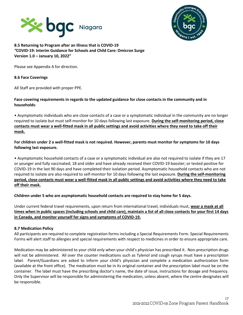



# **8.5 Returning to Program after an Illness that is COVID-19**  *"***COVID-19: Interim Guidance for Schools and Child Care: Omicron Surge Version 1.0 – January 10, 2022"**

Please see Appendix A for direction.

## **8.6 Face Coverings**

All Staff are provided with proper PPE.

# **Face covering requirements in regards to the updated guidance for close contacts in the community and in households**:

• Asymptomatic individuals who are close contacts of a case or a symptomatic individual in the community are no longer required to isolate but must self-monitor for 10 days following last exposure. **During the self-monitoring period, close contacts must wear a well-fitted mask in all public settings and avoid activities where they need to take off their mask.**

# **For children under 2 a well-fitted mask is not required. However, parents must monitor for symptoms for 10 days following last exposure.**

• Asymptomatic household contacts of a case or a symptomatic individual are also not required to isolate if they are 17 or younger and fully vaccinated; 18 and older and have already received their COVID-19 booster; or tested positive for COVID-19 in the last 90 days and have completed their isolation period. Asymptomatic household contacts who are not required to isolate are also required to self-monitor for 10 days following the last exposure. **During the self-monitoring period, close contacts must wear a well-fitted mask in all public settings and avoid activities where they need to take off their mask.** 

# **Children under 5 who are asymptomatic household contacts are required to stay home for 5 days.**

Under current federal travel requirements, upon return from international travel, individuals must, **wear a mask at all times when in public spaces (including schools and child care), maintain a list of all close contacts for your first 14 days in Canada, and monitor yourself for signs and symptoms of COVID-19.**

# **8.7 Medication Policy**

All participants are required to complete registration forms including a Special Requirements Form. Special Requirements Forms will alert staff to allergies and special requirements with respect to medicines in order to ensure appropriate care.

Medication may be administered to your child only when your child's physician has prescribed it. Non-prescription drugs will not be administered. All over the counter medications such as Tylenol and cough syrups must have a prescription label. Parent/Guardians are asked to inform your child's physician and complete a medication authorization form (available at the front office). The medication must be in its original container and the prescription label must be on the container. The label must have the prescribing doctor's name, the date of issue, instructions for dosage and frequency. Only the Supervisor will be responsible for administering the medication, unless absent, where the centre designates will be responsible.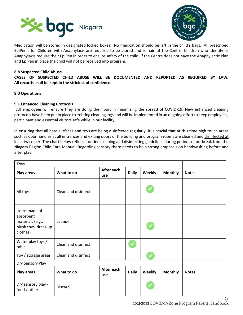



Medication will be stored in designated locked boxes. No medication should be left in the child's bags. All prescribed EpiPen's for Children with Anaphylaxis are required to be stored and remain at the Centre. Children who identify as Anaphylaxis require their EpiPen in order to ensure safety of the child. If the Centre does not have the Anaphylactic Plan and EpiPen in place the child will not be received into program.

## **8.8 Suspected Child Abuse**

**CASES OF SUSPECTED CHILD ABUSE WILL BE DOCUMENTED AND REPORTED AS REQUIRED BY LAW. All records shall be kept in the strictest of confidence.**

#### **9.0 Operations**

#### **9.1 Enhanced Cleaning Protocols**

All employees will ensure they are doing their part in minimizing the spread of COVID-19. New enhanced cleaning protocols have been put in place to existing cleaning logs and will be implemented in an ongoing effort to keep employees, participant and essential visitors safe while in our facility.

In ensuring that all hard surfaces and toys are being disinfected regularly, it is crucial that at this time high touch areas such as door handles at all entrances and exiting doors of the building and program rooms are cleaned and disinfected at least twice per. The chart below reflects routine cleaning and disinfecting guidelines during periods of outbreak from the Niagara Region Child Care Manual. Regarding sensory there needs to be a strong emphasis on handwashing before and after play.

| Toys                                                                               |                     |                   |              |              |                |              |
|------------------------------------------------------------------------------------|---------------------|-------------------|--------------|--------------|----------------|--------------|
| Play areas                                                                         | What to do          | After each<br>use | <b>Daily</b> | Weekly       | <b>Monthly</b> | <b>Notes</b> |
| All toys                                                                           | Clean and disinfect |                   |              |              |                |              |
| Items made of<br>absorbent<br>materials (e.g.,<br>plush toys, dress-up<br>clothes) | Launder             |                   |              | $\checkmark$ |                |              |
| Water play toys /<br>table                                                         | Clean and disinfect |                   |              |              |                |              |
| Toy / storage areas                                                                | Clean and disinfect |                   |              |              |                |              |
| Dry Sensory Play                                                                   |                     |                   |              |              |                |              |
| <b>Play areas</b>                                                                  | What to do          | After each<br>use | <b>Daily</b> | Weekly       | <b>Monthly</b> | <b>Notes</b> |
| Dry sensory play -<br>food / other                                                 | <b>Discard</b>      |                   |              |              |                |              |

18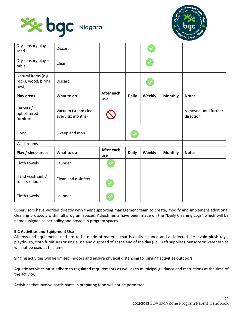



| Dry sensory play -<br>sand                           | <b>Discard</b>                           |                   |              |        |                |                                    |
|------------------------------------------------------|------------------------------------------|-------------------|--------------|--------|----------------|------------------------------------|
| Dry sensory play -<br>table                          | Clean                                    |                   |              |        |                |                                    |
| Natural items (e.g.,<br>rocks, wood, bird's<br>nest) | <b>Discard</b>                           |                   |              |        |                |                                    |
| <b>Play areas</b>                                    | What to do                               | After each<br>use | <b>Daily</b> | Weekly | <b>Monthly</b> | <b>Notes</b>                       |
| Carpets /<br>upholstered<br>furniture                | Vacuum (steam clean<br>every six months) |                   |              |        |                | removed until further<br>direction |
| Floor                                                | Sweep and mop                            |                   |              |        |                |                                    |
| Washrooms                                            |                                          |                   |              |        |                |                                    |
| Play / sleep areas                                   | What to do                               | After each<br>use | <b>Daily</b> | Weekly | <b>Monthly</b> | <b>Notes</b>                       |
| Cloth towels                                         | Launder                                  |                   |              |        |                |                                    |
| Hand wash sink /<br>toilets / floors                 | Clean and disinfect                      |                   |              |        |                |                                    |
| Cloth towels                                         | Launder                                  |                   |              |        |                |                                    |

Supervisors have worked directly with their supporting management team to create, modify and implement additional cleaning protocols within all program spaces. Adjustments have been made on the "Daily Cleaning Logs" which will be name assigned as per policy and posted in program spaces.

## **9.2 Activities and Equipment Use**

All toys and equipment used are to be made of material that is easily cleaned and disinfected (i.e. avoid plush toys, playdough, cloth furniture) or single use and disposed of at the end of the day (i.e. Craft supplies). Sensory or water tables will not be used at this time.

Singing activities will be limited indoors and ensure physical distancing for singing activities outdoors.

Aquatic activities must adhere to regulated requirements as well as to municipal guidance and restrictions at the time of the activity.

Activities that involve participants in preparing food will not be permitted.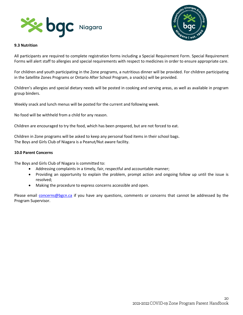



#### **9.3 Nutrition**

All participants are required to complete registration forms including a Special Requirement Form. Special Requirement Forms will alert staff to allergies and special requirements with respect to medicines in order to ensure appropriate care.

For children and youth participating in the Zone programs, a nutritious dinner will be provided. For children participating in the Satellite Zones Programs or Ontario After School Program, a snack(s) will be provided.

Children's allergies and special dietary needs will be posted in cooking and serving areas, as well as available in program group binders.

Weekly snack and lunch menus will be posted for the current and following week.

No food will be withheld from a child for any reason.

Children are encouraged to try the food, which has been prepared, but are not forced to eat.

Children in Zone programs will be asked to keep any personal food items in their school bags. The Boys and Girls Club of Niagara is a Peanut/Nut aware facility.

## **10.0 Parent Concerns**

The Boys and Girls Club of Niagara is committed to:

- Addressing complaints in a timely, fair, respectful and accountable manner;
- Providing an opportunity to explain the problem, prompt action and ongoing follow up until the issue is resolved;
- Making the procedure to express concerns accessible and open.

Please email [concerns@bgcn.ca](mailto:concerns@bgcn.ca) if you have any questions, comments or concerns that cannot be addressed by the Program Supervisor.